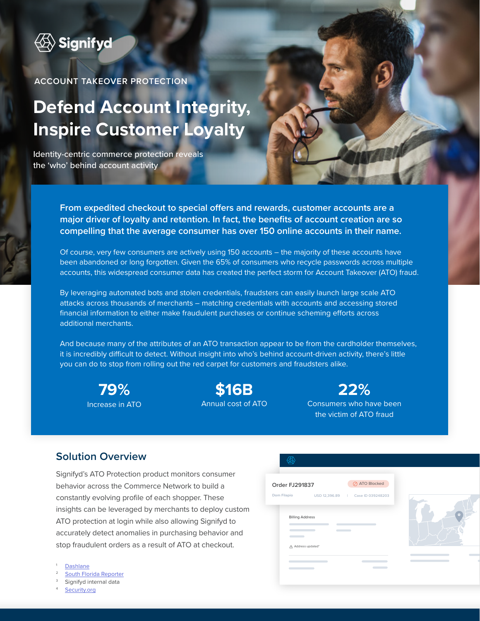

**ACCOUNT TAKEOVER PROTECTION** 

# **Defend Account Integrity, Inspire Customer Loyalty**

Identity-centric commerce protection reveals the 'who' behind account activity

> **From expedited checkout to special offers and rewards, customer accounts are a major driver of loyalty and retention. In fact, the benefits of account creation are so compelling that the average consumer has over 150 online accounts in their name.**

Of course, very few consumers are actively using 150 accounts – the majority of these accounts have been abandoned or long forgotten. Given the 65% of consumers who recycle passwords across multiple accounts, this widespread consumer data has created the perfect storm for Account Takeover (ATO) fraud.

By leveraging automated bots and stolen credentials, fraudsters can easily launch large scale ATO attacks across thousands of merchants – matching credentials with accounts and accessing stored financial information to either make fraudulent purchases or continue scheming efforts across additional merchants.

And because many of the attributes of an ATO transaction appear to be from the cardholder themselves, it is incredibly difficult to detect. Without insight into who's behind account-driven activity, there's little you can do to stop from rolling out the red carpet for customers and fraudsters alike.

**79%** Increase in ATO

**\$16B** Annual cost of ATO

**22%** Consumers who have been the victim of ATO fraud

### **Solution Overview**

Signifyd's ATO Protection product monitors consumer behavior across the Commerce Network to build a constantly evolving profile of each shopper. These insights can be leveraged by merchants to deploy custom ATO protection at login while also allowing Signifyd to accurately detect anomalies in purchasing behavior and stop fraudulent orders as a result of ATO at checkout.

- **[Dashlane](https://blog.dashlane.com/virginia-tech-passwords-study/)**
- [South Florida Reporter](https://southfloridareporter.com/covid-19-working-from-home-and-cybersecurity/)
- Signifyd internal data
- [Security.org](https://www.security.org/digital-safety/account-takeover-annual-report/)

| ⊘ ATO Blocked<br>Order FJ291837<br>Dom Filapio<br>USD 12,396.89   Case ID 039248203<br><b>Billing Address</b><br>Address updated* |  |  |
|-----------------------------------------------------------------------------------------------------------------------------------|--|--|
|                                                                                                                                   |  |  |
|                                                                                                                                   |  |  |
|                                                                                                                                   |  |  |
|                                                                                                                                   |  |  |
|                                                                                                                                   |  |  |